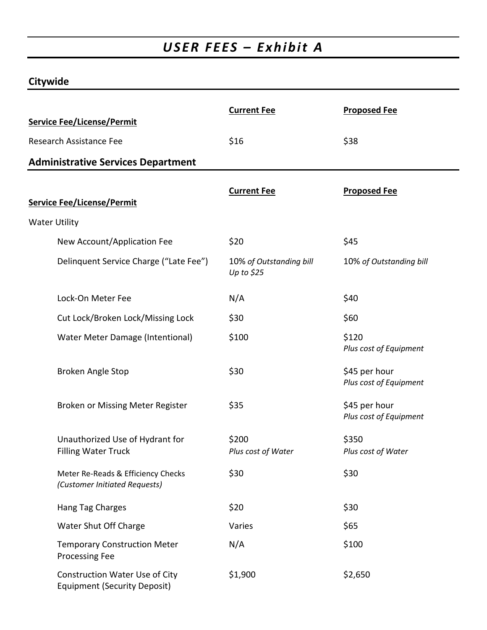## *USER FEES – Exhibit A*

### **Citywide**

| <b>Service Fee/License/Permit</b>                                            | <b>Current Fee</b>                     | <b>Proposed Fee</b>                     |
|------------------------------------------------------------------------------|----------------------------------------|-----------------------------------------|
| Research Assistance Fee                                                      | \$16                                   | \$38                                    |
| <b>Administrative Services Department</b>                                    |                                        |                                         |
|                                                                              |                                        |                                         |
| <b>Service Fee/License/Permit</b>                                            | <b>Current Fee</b>                     | <b>Proposed Fee</b>                     |
| <b>Water Utility</b>                                                         |                                        |                                         |
| New Account/Application Fee                                                  | \$20                                   | \$45                                    |
| Delinquent Service Charge ("Late Fee")                                       | 10% of Outstanding bill<br>Up to $$25$ | 10% of Outstanding bill                 |
| Lock-On Meter Fee                                                            | N/A                                    | \$40                                    |
| Cut Lock/Broken Lock/Missing Lock                                            | \$30                                   | \$60                                    |
| Water Meter Damage (Intentional)                                             | \$100                                  | \$120<br>Plus cost of Equipment         |
| <b>Broken Angle Stop</b>                                                     | \$30                                   | \$45 per hour<br>Plus cost of Equipment |
| Broken or Missing Meter Register                                             | \$35                                   | \$45 per hour<br>Plus cost of Equipment |
| Unauthorized Use of Hydrant for<br><b>Filling Water Truck</b>                | \$200<br>Plus cost of Water            | \$350<br>Plus cost of Water             |
| Meter Re-Reads & Efficiency Checks<br>(Customer Initiated Requests)          | \$30                                   | \$30                                    |
| Hang Tag Charges                                                             | \$20                                   | \$30                                    |
| Water Shut Off Charge                                                        | Varies                                 | \$65                                    |
| <b>Temporary Construction Meter</b><br>Processing Fee                        | N/A                                    | \$100                                   |
| <b>Construction Water Use of City</b><br><b>Equipment (Security Deposit)</b> | \$1,900                                | \$2,650                                 |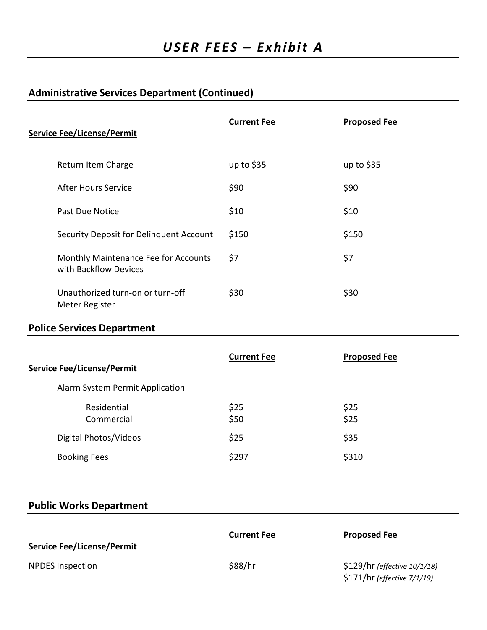## *USER FEES – Exhibit A*

### **Administrative Services Department (Continued)**

| <b>Service Fee/License/Permit</b>                             | <b>Current Fee</b> | <b>Proposed Fee</b> |
|---------------------------------------------------------------|--------------------|---------------------|
| Return Item Charge                                            | up to $$35$        | up to $$35$         |
| <b>After Hours Service</b>                                    | \$90               | \$90                |
| Past Due Notice                                               | \$10               | \$10                |
| Security Deposit for Delinquent Account                       | \$150              | \$150               |
| Monthly Maintenance Fee for Accounts<br>with Backflow Devices | \$7                | \$7                 |
| Unauthorized turn-on or turn-off<br>Meter Register            | \$30               | \$30                |

#### **Police Services Department**

| <b>Service Fee/License/Permit</b> | <b>Current Fee</b> | <b>Proposed Fee</b> |
|-----------------------------------|--------------------|---------------------|
| Alarm System Permit Application   |                    |                     |
| Residential<br>Commercial         | \$25<br>\$50       | \$25<br>\$25        |
| Digital Photos/Videos             | \$25               | \$35                |
| <b>Booking Fees</b>               | \$297              | \$310               |

### **Public Works Department**

| <b>Service Fee/License/Permit</b> | <b>Current Fee</b> | <b>Proposed Fee</b>                                         |
|-----------------------------------|--------------------|-------------------------------------------------------------|
| <b>NPDES</b> Inspection           | \$88/hr            | \$129/hr (effective 10/1/18)<br>\$171/hr (effective 7/1/19) |